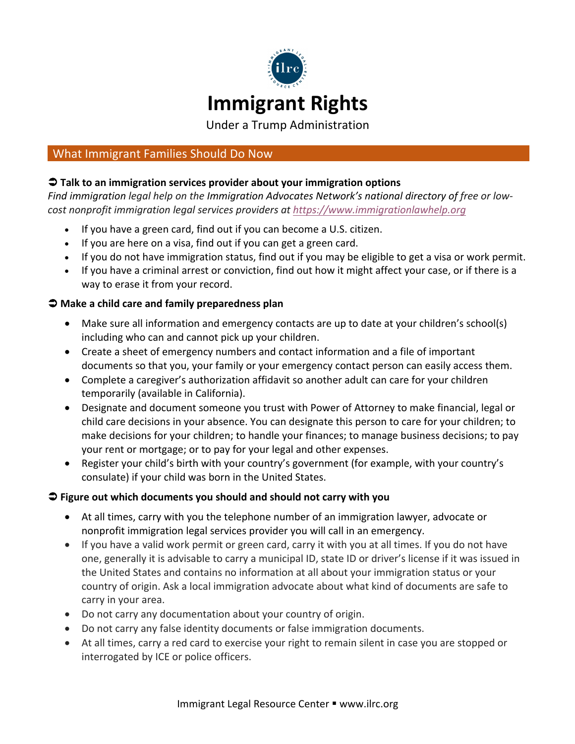

Under a Trump Administration

# What Immigrant Families Should Do Now

## $\supset$  **Talk to an immigration services provider about your immigration options**

Find immigration legal help on the Immigration Advocates Network's national directory of free or lowcost nonprofit immigration legal services providers at https://www.immigrationlawhelp.org

- If you have a green card, find out if you can become a U.S. citizen.
- If you are here on a visa, find out if you can get a green card.
- If you do not have immigration status, find out if you may be eligible to get a visa or work permit.
- If you have a criminal arrest or conviction, find out how it might affect your case, or if there is a way to erase it from your record.

### $\Rightarrow$  Make a child care and family preparedness plan

- Make sure all information and emergency contacts are up to date at your children's school(s) including who can and cannot pick up your children.
- Create a sheet of emergency numbers and contact information and a file of important documents so that you, your family or your emergency contact person can easily access them.
- Complete a caregiver's authorization affidavit so another adult can care for your children temporarily (available in California).
- Designate and document someone you trust with Power of Attorney to make financial, legal or child care decisions in your absence. You can designate this person to care for your children; to make decisions for your children; to handle your finances; to manage business decisions; to pay your rent or mortgage; or to pay for your legal and other expenses.
- Register your child's birth with your country's government (for example, with your country's consulate) if your child was born in the United States.

### **◯** Figure out which documents you should and should not carry with you

- At all times, carry with you the telephone number of an immigration lawyer, advocate or nonprofit immigration legal services provider you will call in an emergency.
- If you have a valid work permit or green card, carry it with you at all times. If you do not have one, generally it is advisable to carry a municipal ID, state ID or driver's license if it was issued in the United States and contains no information at all about your immigration status or your country of origin. Ask a local immigration advocate about what kind of documents are safe to carry in your area.
- Do not carry any documentation about your country of origin.
- Do not carry any false identity documents or false immigration documents.
- At all times, carry a red card to exercise your right to remain silent in case you are stopped or interrogated by ICE or police officers.